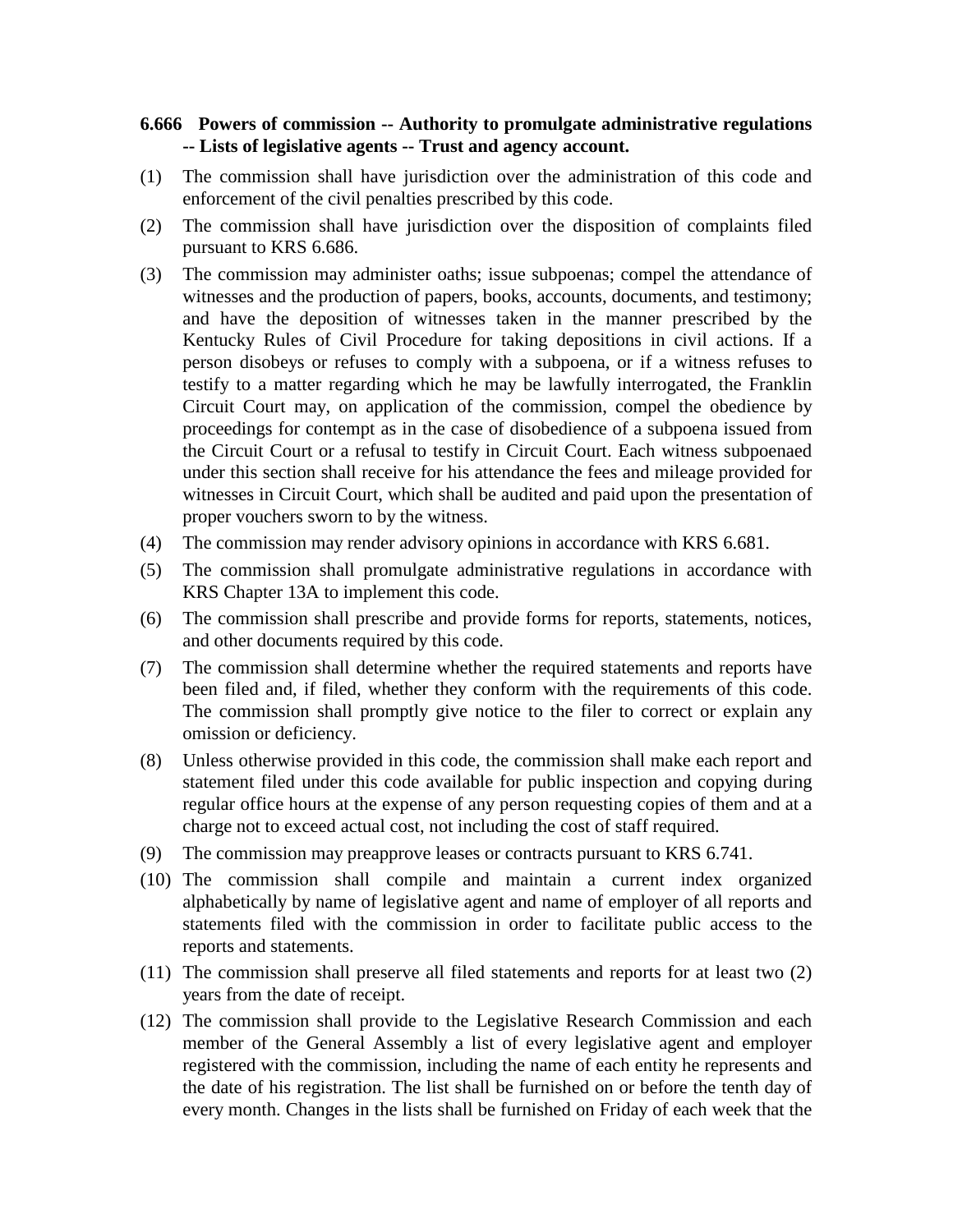## **6.666 Powers of commission -- Authority to promulgate administrative regulations -- Lists of legislative agents -- Trust and agency account.**

- (1) The commission shall have jurisdiction over the administration of this code and enforcement of the civil penalties prescribed by this code.
- (2) The commission shall have jurisdiction over the disposition of complaints filed pursuant to KRS 6.686.
- (3) The commission may administer oaths; issue subpoenas; compel the attendance of witnesses and the production of papers, books, accounts, documents, and testimony; and have the deposition of witnesses taken in the manner prescribed by the Kentucky Rules of Civil Procedure for taking depositions in civil actions. If a person disobeys or refuses to comply with a subpoena, or if a witness refuses to testify to a matter regarding which he may be lawfully interrogated, the Franklin Circuit Court may, on application of the commission, compel the obedience by proceedings for contempt as in the case of disobedience of a subpoena issued from the Circuit Court or a refusal to testify in Circuit Court. Each witness subpoenaed under this section shall receive for his attendance the fees and mileage provided for witnesses in Circuit Court, which shall be audited and paid upon the presentation of proper vouchers sworn to by the witness.
- (4) The commission may render advisory opinions in accordance with KRS 6.681.
- (5) The commission shall promulgate administrative regulations in accordance with KRS Chapter 13A to implement this code.
- (6) The commission shall prescribe and provide forms for reports, statements, notices, and other documents required by this code.
- (7) The commission shall determine whether the required statements and reports have been filed and, if filed, whether they conform with the requirements of this code. The commission shall promptly give notice to the filer to correct or explain any omission or deficiency.
- (8) Unless otherwise provided in this code, the commission shall make each report and statement filed under this code available for public inspection and copying during regular office hours at the expense of any person requesting copies of them and at a charge not to exceed actual cost, not including the cost of staff required.
- (9) The commission may preapprove leases or contracts pursuant to KRS 6.741.
- (10) The commission shall compile and maintain a current index organized alphabetically by name of legislative agent and name of employer of all reports and statements filed with the commission in order to facilitate public access to the reports and statements.
- (11) The commission shall preserve all filed statements and reports for at least two (2) years from the date of receipt.
- (12) The commission shall provide to the Legislative Research Commission and each member of the General Assembly a list of every legislative agent and employer registered with the commission, including the name of each entity he represents and the date of his registration. The list shall be furnished on or before the tenth day of every month. Changes in the lists shall be furnished on Friday of each week that the